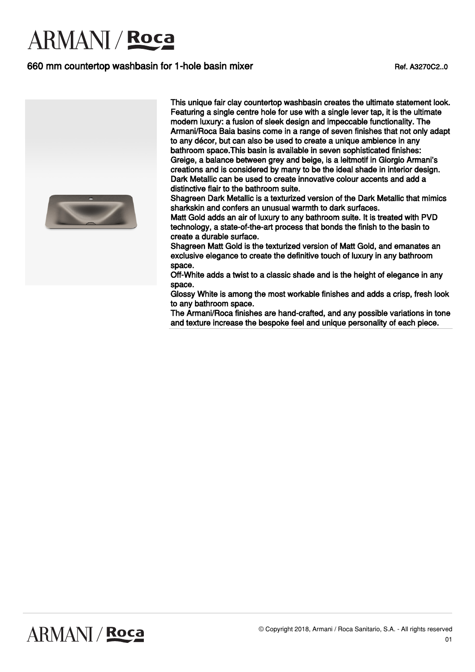### 660 mm countertop washbasin for 1-hole basin mixer Ref. A3270C2..0



This unique fair clay countertop washbasin creates the ultimate statement look. Featuring a single centre hole for use with a single lever tap, it is the ultimate modern luxury: a fusion of sleek design and impeccable functionality. The Armani/Roca Baia basins come in a range of seven finishes that not only adapt to any décor, but can also be used to create a unique ambience in any bathroom space.This basin is available in seven sophisticated finishes: Greige, a balance between grey and beige, is a leitmotif in Giorgio Armani's creations and is considered by many to be the ideal shade in interior design. Dark Metallic can be used to create innovative colour accents and add a distinctive flair to the bathroom suite.

Shagreen Dark Metallic is a texturized version of the Dark Metallic that mimics sharkskin and confers an unusual warmth to dark surfaces.

Matt Gold adds an air of luxury to any bathroom suite. It is treated with PVD technology, a state-of-the-art process that bonds the finish to the basin to create a durable surface.

Shagreen Matt Gold is the texturized version of Matt Gold, and emanates an exclusive elegance to create the definitive touch of luxury in any bathroom space.

Off-White adds a twist to a classic shade and is the height of elegance in any space.

Glossy White is among the most workable finishes and adds a crisp, fresh look to any bathroom space.

The Armani/Roca finishes are hand-crafted, and any possible variations in tone and texture increase the bespoke feel and unique personality of each piece.

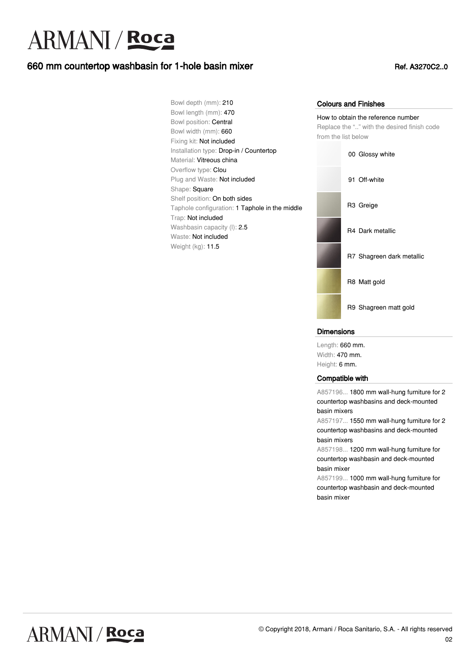## 660 mm countertop washbasin for 1-hole basin mixer Ref. A3270C2..0

Bowl depth (mm): 210 Bowl length (mm): 470 Bowl position: Central Bowl width (mm): 660 Fixing kit: Not included Installation type: Drop-in / Countertop Material: Vitreous china Overflow type: Clou Plug and Waste: Not included Shape: Square Shelf position: On both sides Taphole configuration: 1 Taphole in the middle Trap: Not included Washbasin capacity (I): 2.5 Waste: Not included Weight (kg): 11.5

#### Colours and Finishes

How to obtain the reference number Replace the ".." with the desired finish code from the list below



#### **Dimensions**

Length: 660 mm. Width: 470 mm. Height: 6 mm.

#### Compatible with

A857196... 1800 mm wall-hung furniture for 2 countertop washbasins and deck-mounted basin mixers

A857197... 1550 mm wall-hung furniture for 2 countertop washbasins and deck-mounted basin mixers

A857198... 1200 mm wall-hung furniture for countertop washbasin and deck-mounted basin mixer

A857199... 1000 mm wall-hung furniture for countertop washbasin and deck-mounted basin mixer

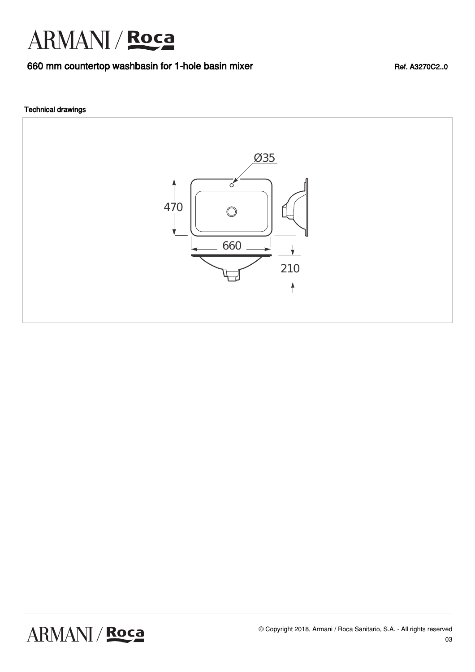### 660 mm countertop washbasin for 1-hole basin mixer Ref. A3270C2..0

#### Technical drawings

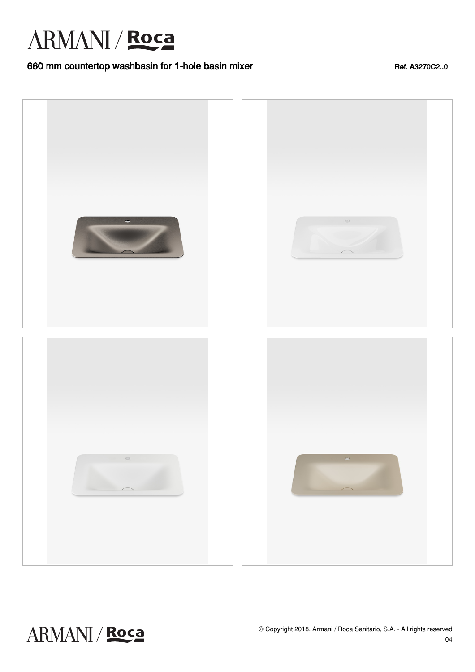### 660 mm countertop washbasin for 1-hole basin mixer Ref. A3270C2..0